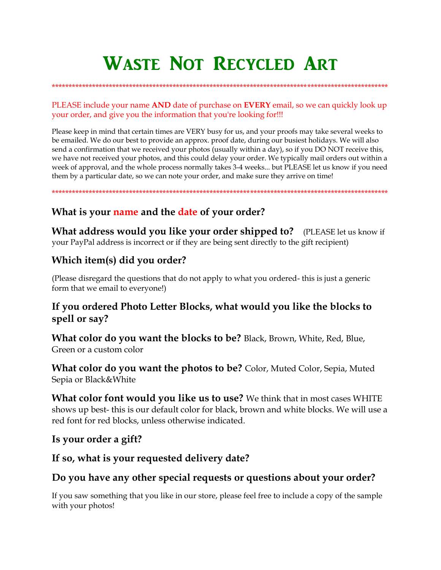# **WASTE NOT RECYCLED ART**

PLEASE include your name AND date of purchase on EVERY email, so we can quickly look up your order, and give you the information that you're looking for!!!

Please keep in mind that certain times are VERY busy for us, and your proofs may take several weeks to be emailed. We do our best to provide an approx, proof date, during our busiest holidays. We will also send a confirmation that we received your photos (usually within a day), so if you DO NOT receive this, we have not received your photos, and this could delay your order. We typically mail orders out within a week of approval, and the whole process normally takes 3-4 weeks... but PLEASE let us know if you need them by a particular date, so we can note your order, and make sure they arrive on time!

# What is your name and the date of your order?

**What address would you like your order shipped to?** (PLEASE let us know if your PayPal address is incorrect or if they are being sent directly to the gift recipient)

# Which item(s) did you order?

(Please disregard the questions that do not apply to what you ordered-this is just a generic form that we email to everyone!)

## If you ordered Photo Letter Blocks, what would you like the blocks to spell or say?

What color do you want the blocks to be? Black, Brown, White, Red, Blue, Green or a custom color

**What color do you want the photos to be?** Color, Muted Color, Sepia, Muted Sepia or Black&White

What color font would you like us to use? We think that in most cases WHITE shows up best-this is our default color for black, brown and white blocks. We will use a red font for red blocks, unless otherwise indicated.

#### Is your order a gift?

## If so, what is your requested delivery date?

## Do you have any other special requests or questions about your order?

If you saw something that you like in our store, please feel free to include a copy of the sample with your photos!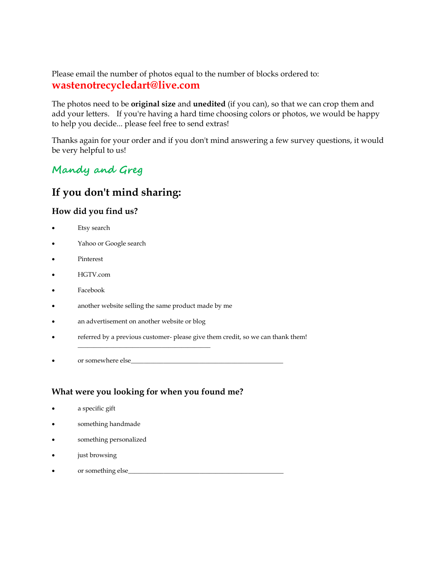Please email the number of photos equal to the number of blocks ordered to: **wastenotrecycledart@live.com**

The photos need to be **original size** and **unedited** (if you can), so that we can crop them and add your letters. If you're having a hard time choosing colors or photos, we would be happy to help you decide... please feel free to send extras!

Thanks again for your order and if you don't mind answering a few survey questions, it would be very helpful to us!

# **Mandy and Greg**

# **If you don't mind sharing:**

#### **How did you find us?**

- Etsy search
- Yahoo or Google search
- Pinterest
- HGTV.com
- Facebook
- another website selling the same product made by me

\_\_\_\_\_\_\_\_\_\_\_\_\_\_\_\_\_\_\_\_\_\_\_\_\_\_\_\_\_\_\_\_\_\_\_\_\_\_\_\_\_

- an advertisement on another website or blog
- referred by a previous customer- please give them credit, so we can thank them!
- or somewhere else\_\_\_\_\_\_\_\_\_\_\_\_\_\_\_\_\_\_\_\_\_\_\_\_\_\_\_\_\_\_\_\_\_\_\_\_\_\_\_\_\_\_\_\_\_\_\_

#### **What were you looking for when you found me?**

- a specific gift
- something handmade
- something personalized
- just browsing
- or something else\_\_\_\_\_\_\_\_\_\_\_\_\_\_\_\_\_\_\_\_\_\_\_\_\_\_\_\_\_\_\_\_\_\_\_\_\_\_\_\_\_\_\_\_\_\_\_\_